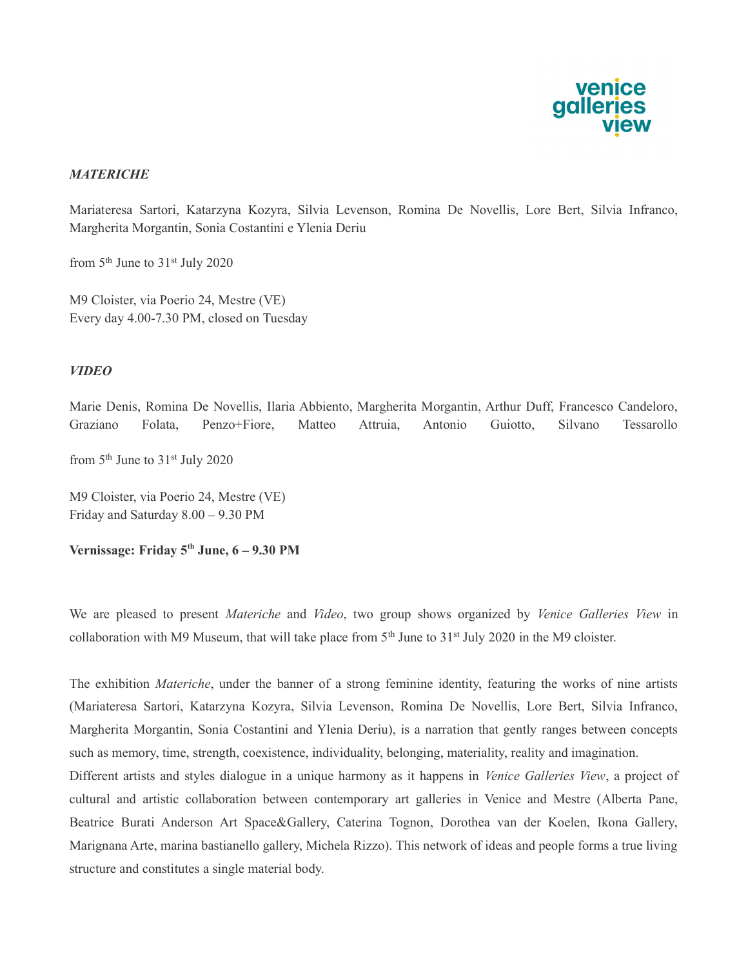

## **MATERICHE**

Mariateresa Sartori, Katarzyna Kozyra, Silvia Levenson, Romina De Novellis, Lore Bert, Silvia Infranco, Margherita Morgantin, Sonia Costantini e Ylenia Deriu

from  $5<sup>th</sup>$  June to  $31<sup>st</sup>$  July 2020

M9 Cloister, via Poerio 24, Mestre (VE) Every day 4.00-7.30 PM, closed on Tuesday

## VIDEO

Marie Denis, Romina De Novellis, Ilaria Abbiento, Margherita Morgantin, Arthur Duff, Francesco Candeloro, Graziano Folata, Penzo+Fiore, Matteo Attruia, Antonio Guiotto, Silvano Tessarollo from  $5<sup>th</sup>$  June to  $31<sup>st</sup>$  July 2020

M9 Cloister, via Poerio 24, Mestre (VE) Friday and Saturday 8.00 – 9.30 PM

Vernissage: Friday 5<sup>th</sup> June, 6 – 9.30 PM

We are pleased to present *Materiche* and *Video*, two group shows organized by *Venice Galleries View* in collaboration with M9 Museum, that will take place from  $5<sup>th</sup>$  June to  $31<sup>st</sup>$  July 2020 in the M9 cloister.

The exhibition *Materiche*, under the banner of a strong feminine identity, featuring the works of nine artists (Mariateresa Sartori, Katarzyna Kozyra, Silvia Levenson, Romina De Novellis, Lore Bert, Silvia Infranco, Margherita Morgantin, Sonia Costantini and Ylenia Deriu), is a narration that gently ranges between concepts such as memory, time, strength, coexistence, individuality, belonging, materiality, reality and imagination. Different artists and styles dialogue in a unique harmony as it happens in Venice Galleries View, a project of cultural and artistic collaboration between contemporary art galleries in Venice and Mestre (Alberta Pane, Beatrice Burati Anderson Art Space&Gallery, Caterina Tognon, Dorothea van der Koelen, Ikona Gallery, Marignana Arte, marina bastianello gallery, Michela Rizzo). This network of ideas and people forms a true living structure and constitutes a single material body.